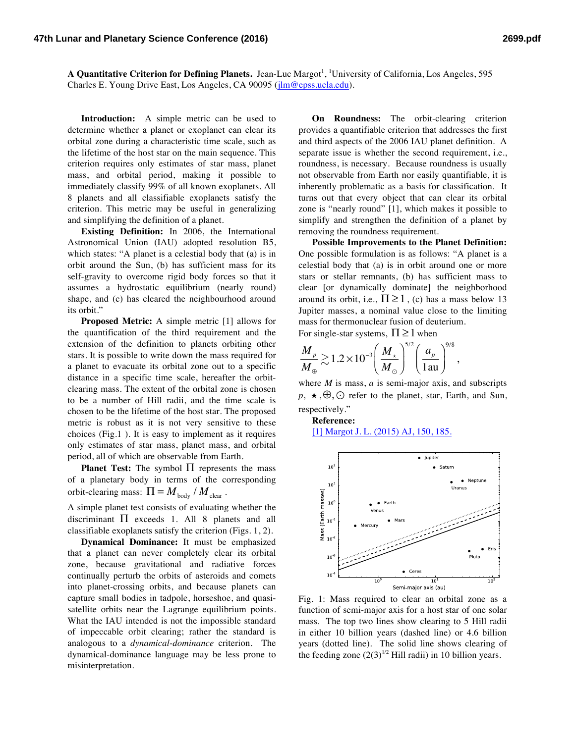A Quantitative Criterion for Defining Planets. Jean-Luc Margot<sup>1</sup>, <sup>1</sup>University of California, Los Angeles, 595 Charles E. Young Drive East, Los Angeles, CA 90095 (jlm@epss.ucla.edu).

**Introduction:** A simple metric can be used to determine whether a planet or exoplanet can clear its orbital zone during a characteristic time scale, such as the lifetime of the host star on the main sequence. This criterion requires only estimates of star mass, planet mass, and orbital period, making it possible to immediately classify 99% of all known exoplanets. All 8 planets and all classifiable exoplanets satisfy the criterion. This metric may be useful in generalizing and simplifying the definition of a planet.

**Existing Definition:** In 2006, the International Astronomical Union (IAU) adopted resolution B5, which states: "A planet is a celestial body that (a) is in orbit around the Sun, (b) has sufficient mass for its self-gravity to overcome rigid body forces so that it assumes a hydrostatic equilibrium (nearly round) shape, and (c) has cleared the neighbourhood around its orbit."

**Proposed Metric:** A simple metric [1] allows for the quantification of the third requirement and the extension of the definition to planets orbiting other stars. It is possible to write down the mass required for a planet to evacuate its orbital zone out to a specific distance in a specific time scale, hereafter the orbitclearing mass. The extent of the orbital zone is chosen to be a number of Hill radii, and the time scale is chosen to be the lifetime of the host star. The proposed metric is robust as it is not very sensitive to these choices (Fig.1 ). It is easy to implement as it requires only estimates of star mass, planet mass, and orbital period, all of which are observable from Earth.

**Planet Test:** The symbol  $\Pi$  represents the mass of a planetary body in terms of the corresponding orbit-clearing mass:  $\Pi = M_{\text{body}} / M_{\text{clear}}$ .

A simple planet test consists of evaluating whether the discriminant  $\Pi$  exceeds 1. All 8 planets and all classifiable exoplanets satisfy the criterion (Figs. 1, 2).

**Dynamical Dominance:** It must be emphasized that a planet can never completely clear its orbital zone, because gravitational and radiative forces continually perturb the orbits of asteroids and comets into planet-crossing orbits, and because planets can capture small bodies in tadpole, horseshoe, and quasisatellite orbits near the Lagrange equilibrium points. What the IAU intended is not the impossible standard of impeccable orbit clearing; rather the standard is analogous to a *dynamical-dominance* criterion. The dynamical-dominance language may be less prone to misinterpretation.

**On Roundness:** The orbit-clearing criterion provides a quantifiable criterion that addresses the first and third aspects of the 2006 IAU planet definition. A separate issue is whether the second requirement, i.e., roundness, is necessary. Because roundness is usually not observable from Earth nor easily quantifiable, it is inherently problematic as a basis for classification. It turns out that every object that can clear its orbital zone is "nearly round" [1], which makes it possible to simplify and strengthen the definition of a planet by removing the roundness requirement.

**Possible Improvements to the Planet Definition:** One possible formulation is as follows: "A planet is a celestial body that (a) is in orbit around one or more stars or stellar remnants, (b) has sufficient mass to clear [or dynamically dominate] the neighborhood around its orbit, i.e.,  $\Pi \geq 1$ , (c) has a mass below 13 Jupiter masses, a nominal value close to the limiting mass for thermonuclear fusion of deuterium. For single-star systems,  $\Pi \geq 1$  when

$$
\frac{M_p}{M_\oplus} \gtrsim 1.2 \times 10^{-3} \left(\frac{M_\star}{M_\odot}\right)^{5/2} \left(\frac{a_p}{1 \,\mathrm{au}}\right)^{9/8},
$$

where *M* is mass, *a* is semi-major axis, and subscripts *p*, ★,⊕, ⊙ refer to the planet, star, Earth, and Sun, respectively."

**Reference:**

[1] Margot J. L. (2015) AJ, 150, 185.



Fig. 1: Mass required to clear an orbital zone as a function of semi-major axis for a host star of one solar mass. The top two lines show clearing to 5 Hill radii in either 10 billion years (dashed line) or 4.6 billion years (dotted line). The solid line shows clearing of the feeding zone  $(2(3)^{1/2}$  Hill radii) in 10 billion years.